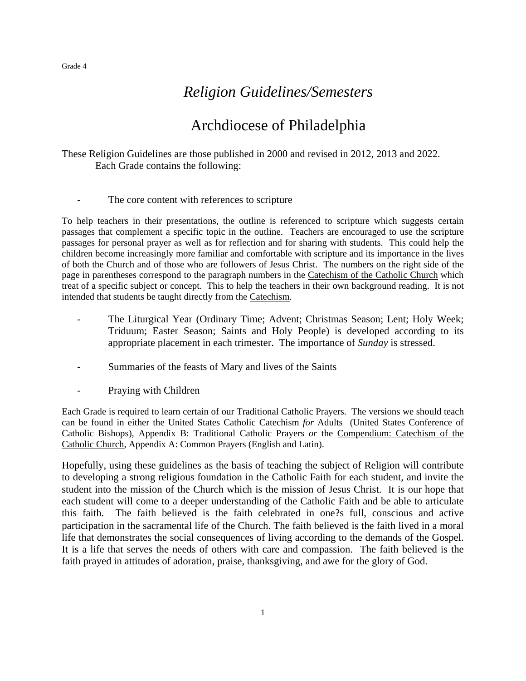# *Religion Guidelines/Semesters*

# Archdiocese of Philadelphia

These Religion Guidelines are those published in 2000 and revised in 2012, 2013 and 2022. Each Grade contains the following:

The core content with references to scripture

To help teachers in their presentations, the outline is referenced to scripture which suggests certain passages that complement a specific topic in the outline. Teachers are encouraged to use the scripture passages for personal prayer as well as for reflection and for sharing with students. This could help the children become increasingly more familiar and comfortable with scripture and its importance in the lives of both the Church and of those who are followers of Jesus Christ. The numbers on the right side of the page in parentheses correspond to the paragraph numbers in the Catechism of the Catholic Church which treat of a specific subject or concept. This to help the teachers in their own background reading. It is not intended that students be taught directly from the Catechism.

- The Liturgical Year (Ordinary Time; Advent; Christmas Season; Lent; Holy Week; Triduum; Easter Season; Saints and Holy People) is developed according to its appropriate placement in each trimester. The importance of *Sunday* is stressed.
- Summaries of the feasts of Mary and lives of the Saints
- Praying with Children

Each Grade is required to learn certain of our Traditional Catholic Prayers. The versions we should teach can be found in either the United States Catholic Catechism *for* Adults (United States Conference of Catholic Bishops), Appendix B: Traditional Catholic Prayers *or* the Compendium: Catechism of the Catholic Church, Appendix A: Common Prayers (English and Latin).

Hopefully, using these guidelines as the basis of teaching the subject of Religion will contribute to developing a strong religious foundation in the Catholic Faith for each student, and invite the student into the mission of the Church which is the mission of Jesus Christ. It is our hope that each student will come to a deeper understanding of the Catholic Faith and be able to articulate this faith. The faith believed is the faith celebrated in one?s full, conscious and active participation in the sacramental life of the Church. The faith believed is the faith lived in a moral life that demonstrates the social consequences of living according to the demands of the Gospel. It is a life that serves the needs of others with care and compassion. The faith believed is the faith prayed in attitudes of adoration, praise, thanksgiving, and awe for the glory of God.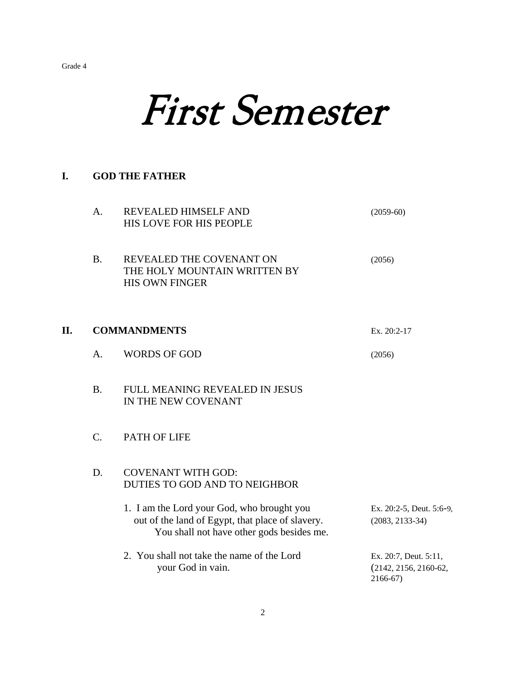# First Semester

# **I. GOD THE FATHER**

|    | A.          | REVEALED HIMSELF AND<br>HIS LOVE FOR HIS PEOPLE                                                                                             | $(2059-60)$                                                  |
|----|-------------|---------------------------------------------------------------------------------------------------------------------------------------------|--------------------------------------------------------------|
|    | <b>B.</b>   | REVEALED THE COVENANT ON<br>THE HOLY MOUNTAIN WRITTEN BY<br><b>HIS OWN FINGER</b>                                                           | (2056)                                                       |
| П. |             | <b>COMMANDMENTS</b>                                                                                                                         | Ex. 20:2-17                                                  |
|    | A.          | <b>WORDS OF GOD</b>                                                                                                                         | (2056)                                                       |
|    | <b>B.</b>   | FULL MEANING REVEALED IN JESUS<br>IN THE NEW COVENANT                                                                                       |                                                              |
|    | $C_{\cdot}$ | <b>PATH OF LIFE</b>                                                                                                                         |                                                              |
|    | D.          | <b>COVENANT WITH GOD:</b><br>DUTIES TO GOD AND TO NEIGHBOR                                                                                  |                                                              |
|    |             | 1. I am the Lord your God, who brought you<br>out of the land of Egypt, that place of slavery.<br>You shall not have other gods besides me. | Ex. 20:2-5, Deut. 5:6-9,<br>$(2083, 2133-34)$                |
|    |             | 2. You shall not take the name of the Lord<br>your God in vain.                                                                             | Ex. 20:7, Deut. 5:11,<br>$(2142, 2156, 2160-62,$<br>2166-67) |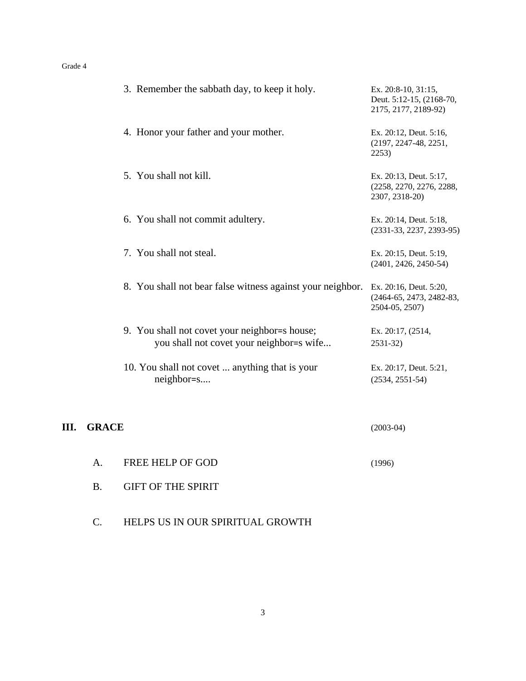|    | 3. Remember the sabbath day, to keep it holy.                                             | Ex. 20:8-10, 31:15,<br>Deut. 5:12-15, (2168-70,<br>2175, 2177, 2189-92) |
|----|-------------------------------------------------------------------------------------------|-------------------------------------------------------------------------|
|    | 4. Honor your father and your mother.                                                     | Ex. 20:12, Deut. 5:16,<br>$(2197, 2247-48, 2251,$<br>2253)              |
|    | 5. You shall not kill.                                                                    | Ex. 20:13, Deut. 5:17,<br>(2258, 2270, 2276, 2288,<br>2307, 2318-20)    |
|    | 6. You shall not commit adultery.                                                         | Ex. 20:14, Deut. 5:18,<br>$(2331-33, 2237, 2393-95)$                    |
|    | 7. You shall not steal.                                                                   | Ex. 20:15, Deut. 5:19,<br>$(2401, 2426, 2450-54)$                       |
|    | 8. You shall not bear false witness against your neighbor.                                | Ex. 20:16, Deut. 5:20,<br>(2464-65, 2473, 2482-83,<br>2504-05, 2507)    |
|    | 9. You shall not covet your neighbor=s house;<br>you shall not covet your neighbor=s wife | Ex. 20:17, (2514,<br>2531-32)                                           |
|    | 10. You shall not covet  anything that is your<br>neighbor=s                              | Ex. 20:17, Deut. 5:21,<br>$(2534, 2551-54)$                             |
| Ш. | <b>GRACE</b>                                                                              | $(2003-04)$                                                             |

- A. FREE HELP OF GOD (1996)
- B. GIFT OF THE SPIRIT
- C. HELPS US IN OUR SPIRITUAL GROWTH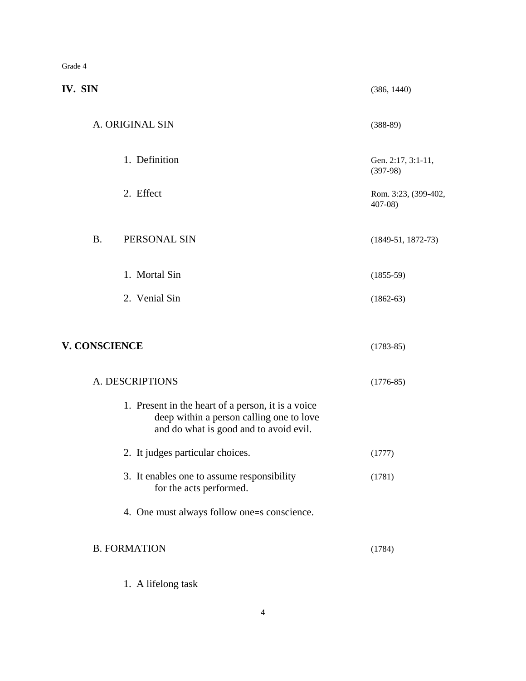| IV. SIN              |                                                                                                                                          | (386, 1440)                        |
|----------------------|------------------------------------------------------------------------------------------------------------------------------------------|------------------------------------|
|                      | A. ORIGINAL SIN                                                                                                                          | $(388-89)$                         |
|                      | 1. Definition                                                                                                                            | Gen. 2:17, 3:1-11,<br>$(397-98)$   |
|                      | 2. Effect                                                                                                                                | Rom. 3:23, (399-402,<br>$407 - 08$ |
| <b>B.</b>            | PERSONAL SIN                                                                                                                             | $(1849-51, 1872-73)$               |
|                      | 1. Mortal Sin                                                                                                                            | $(1855-59)$                        |
|                      | 2. Venial Sin                                                                                                                            | $(1862-63)$                        |
| <b>V. CONSCIENCE</b> |                                                                                                                                          | $(1783-85)$                        |
|                      | A. DESCRIPTIONS                                                                                                                          | $(1776-85)$                        |
|                      | 1. Present in the heart of a person, it is a voice<br>deep within a person calling one to love<br>and do what is good and to avoid evil. |                                    |
|                      | 2. It judges particular choices.                                                                                                         | (1777)                             |
|                      | 3. It enables one to assume responsibility<br>for the acts performed.                                                                    | (1781)                             |
|                      | 4. One must always follow one=s conscience.                                                                                              |                                    |
|                      | <b>B. FORMATION</b>                                                                                                                      | (1784)                             |
|                      | 1. A lifelong task                                                                                                                       |                                    |

4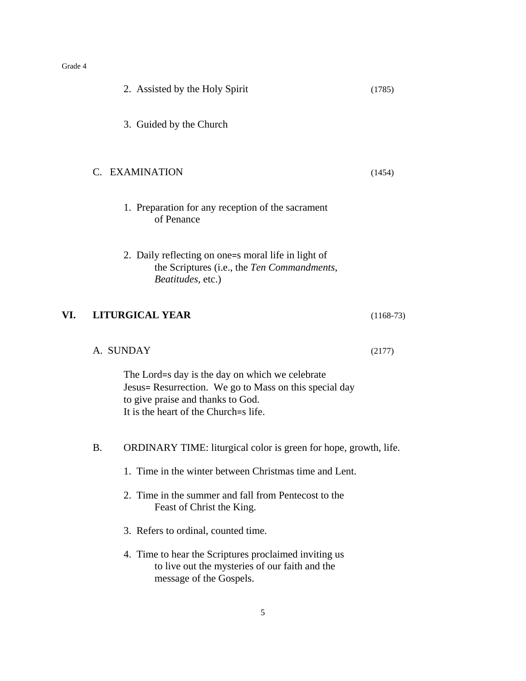|     |    | 2. Assisted by the Holy Spirit                                                                                                                                                          | (1785)      |
|-----|----|-----------------------------------------------------------------------------------------------------------------------------------------------------------------------------------------|-------------|
|     |    | 3. Guided by the Church                                                                                                                                                                 |             |
|     |    | C. EXAMINATION                                                                                                                                                                          | (1454)      |
|     |    | 1. Preparation for any reception of the sacrament<br>of Penance                                                                                                                         |             |
|     |    | 2. Daily reflecting on one=s moral life in light of<br>the Scriptures (i.e., the Ten Commandments,<br>Beatitudes, etc.)                                                                 |             |
| VI. |    | <b>LITURGICAL YEAR</b>                                                                                                                                                                  | $(1168-73)$ |
|     |    | A. SUNDAY                                                                                                                                                                               | (2177)      |
|     |    | The Lord=s day is the day on which we celebrate<br>Jesus= Resurrection. We go to Mass on this special day<br>to give praise and thanks to God.<br>It is the heart of the Church=s life. |             |
|     | Β. | <b>ORDINARY TIME:</b> liturgical color is green for hope, growth, life.                                                                                                                 |             |
|     |    | 1. Time in the winter between Christmas time and Lent.                                                                                                                                  |             |
|     |    | 2. Time in the summer and fall from Pentecost to the<br>Feast of Christ the King.                                                                                                       |             |
|     |    | 3. Refers to ordinal, counted time.                                                                                                                                                     |             |
|     |    | 4. Time to hear the Scriptures proclaimed inviting us<br>to live out the mysteries of our faith and the<br>message of the Gospels.                                                      |             |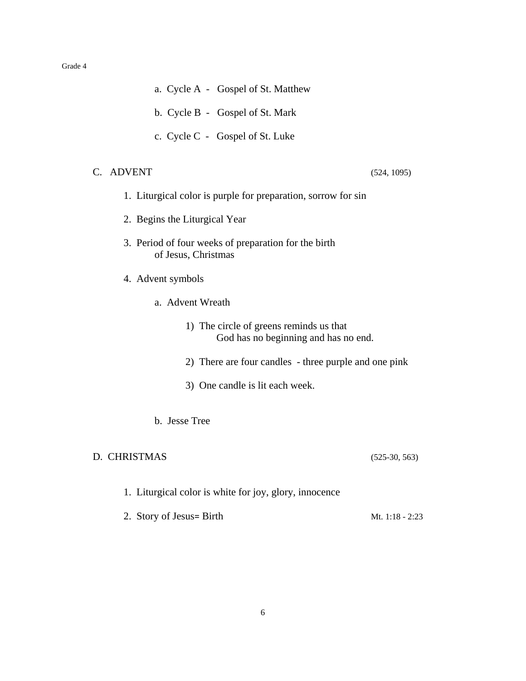- a. Cycle A Gospel of St. Matthew
- b. Cycle B Gospel of St. Mark
- c. Cycle C Gospel of St. Luke

# C. ADVENT (524, 1095)

- 1. Liturgical color is purple for preparation, sorrow for sin
- 2. Begins the Liturgical Year
- 3. Period of four weeks of preparation for the birth of Jesus, Christmas
- 4. Advent symbols
	- a. Advent Wreath
		- 1) The circle of greens reminds us that God has no beginning and has no end.
		- 2) There are four candles three purple and one pink
		- 3) One candle is lit each week.
	- b. Jesse Tree

# D. CHRISTMAS (525-30, 563)

- 1. Liturgical color is white for joy, glory, innocence
- 2. Story of Jesus= Birth Mt.  $1:18 2:23$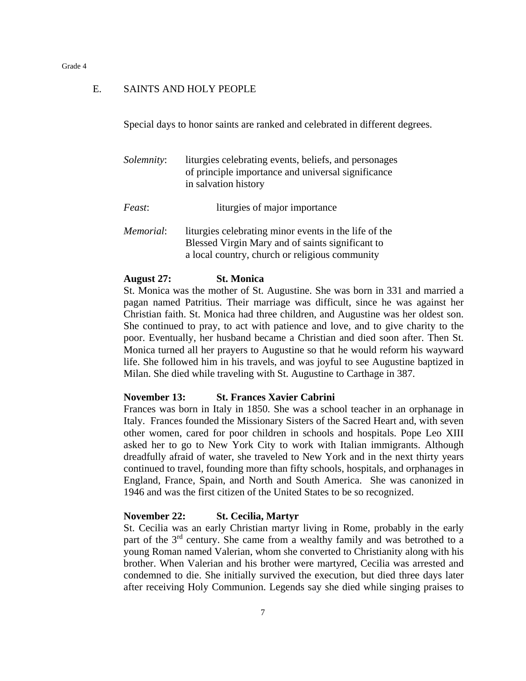# E. SAINTS AND HOLY PEOPLE

Special days to honor saints are ranked and celebrated in different degrees.

| <i>Solemnity:</i> | liturgies celebrating events, beliefs, and personages<br>of principle importance and universal significance<br>in salvation history |
|-------------------|-------------------------------------------------------------------------------------------------------------------------------------|
| <i>Feast:</i>     | liturgies of major importance                                                                                                       |

*Memorial*: liturgies celebrating minor events in the life of the Blessed Virgin Mary and of saints significant to a local country, church or religious community

# **August 27: St. Monica**

St. Monica was the mother of St. Augustine. She was born in 331 and married a pagan named Patritius. Their marriage was difficult, since he was against her Christian faith. St. Monica had three children, and Augustine was her oldest son. She continued to pray, to act with patience and love, and to give charity to the poor. Eventually, her husband became a Christian and died soon after. Then St. Monica turned all her prayers to Augustine so that he would reform his wayward life. She followed him in his travels, and was joyful to see Augustine baptized in Milan. She died while traveling with St. Augustine to Carthage in 387.

# **November 13: St. Frances Xavier Cabrini**

Frances was born in Italy in 1850. She was a school teacher in an orphanage in Italy. Frances founded the Missionary Sisters of the Sacred Heart and, with seven other women, cared for poor children in schools and hospitals. Pope Leo XIII asked her to go to New York City to work with Italian immigrants. Although dreadfully afraid of water, she traveled to New York and in the next thirty years continued to travel, founding more than fifty schools, hospitals, and orphanages in England, France, Spain, and North and South America. She was canonized in 1946 and was the first citizen of the United States to be so recognized.

# **November 22: St. Cecilia, Martyr**

St. Cecilia was an early Christian martyr living in Rome, probably in the early part of the 3rd century. She came from a wealthy family and was betrothed to a young Roman named Valerian, whom she converted to Christianity along with his brother. When Valerian and his brother were martyred, Cecilia was arrested and condemned to die. She initially survived the execution, but died three days later after receiving Holy Communion. Legends say she died while singing praises to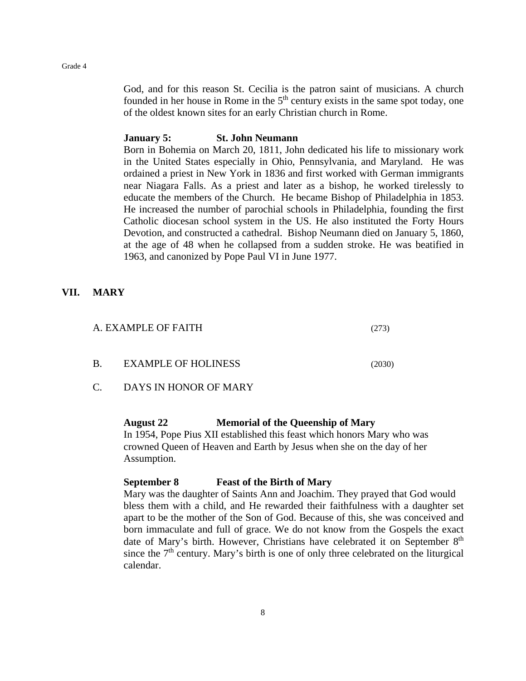God, and for this reason St. Cecilia is the patron saint of musicians. A church founded in her house in Rome in the  $5<sup>th</sup>$  century exists in the same spot today, one of the oldest known sites for an early Christian church in Rome.

# **January 5: St. John Neumann**

Born in Bohemia on March 20, 1811, John dedicated his life to missionary work in the United States especially in Ohio, Pennsylvania, and Maryland. He was ordained a priest in New York in 1836 and first worked with German immigrants near Niagara Falls. As a priest and later as a bishop, he worked tirelessly to educate the members of the Church. He became Bishop of Philadelphia in 1853. He increased the number of parochial schools in Philadelphia, founding the first Catholic diocesan school system in the US. He also instituted the Forty Hours Devotion, and constructed a cathedral. Bishop Neumann died on January 5, 1860, at the age of 48 when he collapsed from a sudden stroke. He was beatified in 1963, and canonized by Pope Paul VI in June 1977.

# **VII. MARY**

| A. EXAMPLE OF FAITH |                            |  | (273)  |
|---------------------|----------------------------|--|--------|
| -B.                 | <b>EXAMPLE OF HOLINESS</b> |  | (2030) |

C. DAYS IN HONOR OF MARY

# **August 22 Memorial of the Queenship of Mary**

In 1954, Pope Pius XII established this feast which honors Mary who was crowned Queen of Heaven and Earth by Jesus when she on the day of her Assumption.

# **September 8 Feast of the Birth of Mary**

Mary was the daughter of Saints Ann and Joachim. They prayed that God would bless them with a child, and He rewarded their faithfulness with a daughter set apart to be the mother of the Son of God. Because of this, she was conceived and born immaculate and full of grace. We do not know from the Gospels the exact date of Mary's birth. However, Christians have celebrated it on September 8<sup>th</sup> since the  $7<sup>th</sup>$  century. Mary's birth is one of only three celebrated on the liturgical calendar.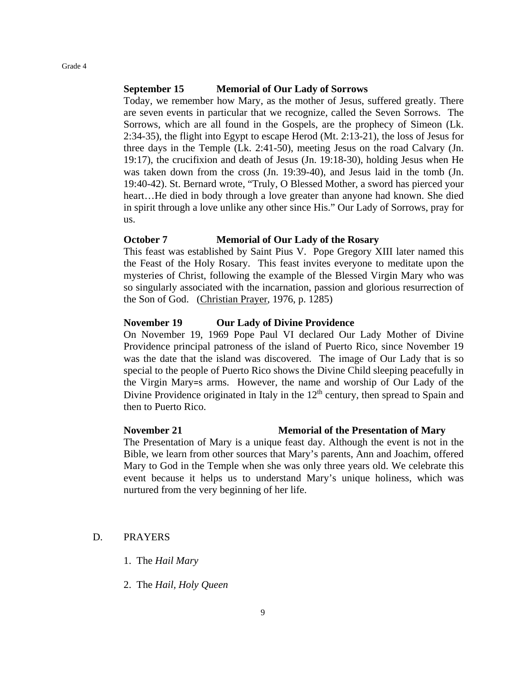# **September 15 Memorial of Our Lady of Sorrows**

Today, we remember how Mary, as the mother of Jesus, suffered greatly. There are seven events in particular that we recognize, called the Seven Sorrows. The Sorrows, which are all found in the Gospels, are the prophecy of Simeon (Lk. 2:34-35), the flight into Egypt to escape Herod (Mt. 2:13-21), the loss of Jesus for three days in the Temple (Lk. 2:41-50), meeting Jesus on the road Calvary (Jn. 19:17), the crucifixion and death of Jesus (Jn. 19:18-30), holding Jesus when He was taken down from the cross (Jn. 19:39-40), and Jesus laid in the tomb (Jn. 19:40-42). St. Bernard wrote, "Truly, O Blessed Mother, a sword has pierced your heart...He died in body through a love greater than anyone had known. She died in spirit through a love unlike any other since His." Our Lady of Sorrows, pray for us.

# **October 7 Memorial of Our Lady of the Rosary**

This feast was established by Saint Pius V. Pope Gregory XIII later named this the Feast of the Holy Rosary. This feast invites everyone to meditate upon the mysteries of Christ, following the example of the Blessed Virgin Mary who was so singularly associated with the incarnation, passion and glorious resurrection of the Son of God. (Christian Prayer, 1976, p. 1285)

# **November 19 Our Lady of Divine Providence**

On November 19, 1969 Pope Paul VI declared Our Lady Mother of Divine Providence principal patroness of the island of Puerto Rico, since November 19 was the date that the island was discovered. The image of Our Lady that is so special to the people of Puerto Rico shows the Divine Child sleeping peacefully in the Virgin Mary=s arms. However, the name and worship of Our Lady of the Divine Providence originated in Italy in the  $12<sup>th</sup>$  century, then spread to Spain and then to Puerto Rico.

# **November 21 Memorial of the Presentation of Mary**

The Presentation of Mary is a unique feast day. Although the event is not in the Bible, we learn from other sources that Mary's parents, Ann and Joachim, offered Mary to God in the Temple when she was only three years old. We celebrate this event because it helps us to understand Mary's unique holiness, which was nurtured from the very beginning of her life.

# D. PRAYERS

- 1. The *Hail Mary*
- 2. The *Hail, Holy Queen*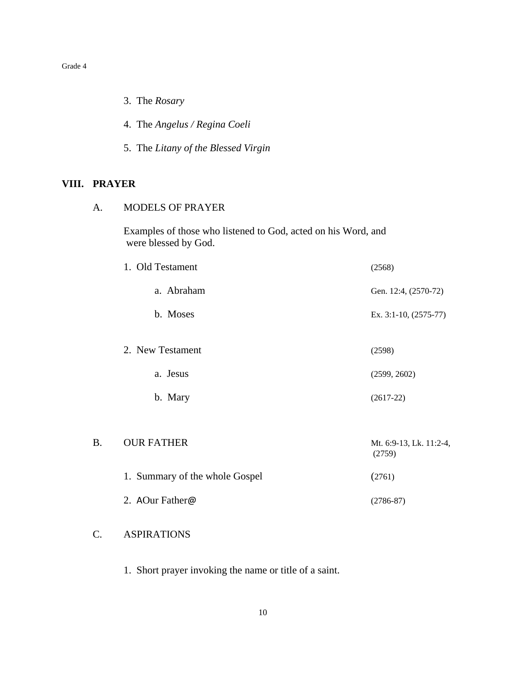|              | 3. The Rosary                                                                         |                                   |
|--------------|---------------------------------------------------------------------------------------|-----------------------------------|
|              | 4. The Angelus / Regina Coeli                                                         |                                   |
|              | 5. The Litany of the Blessed Virgin                                                   |                                   |
| VIII. PRAYER |                                                                                       |                                   |
| A.           | <b>MODELS OF PRAYER</b>                                                               |                                   |
|              | Examples of those who listened to God, acted on his Word, and<br>were blessed by God. |                                   |
|              | 1. Old Testament                                                                      | (2568)                            |
|              | a. Abraham                                                                            | Gen. 12:4, (2570-72)              |
|              | b. Moses                                                                              | Ex. 3:1-10, (2575-77)             |
|              | 2. New Testament                                                                      | (2598)                            |
|              | a. Jesus                                                                              | (2599, 2602)                      |
|              | b. Mary                                                                               | $(2617-22)$                       |
| <b>B.</b>    | <b>OUR FATHER</b>                                                                     | Mt. 6:9-13, Lk. 11:2-4,<br>(2759) |
|              | 1. Summary of the whole Gospel                                                        | (2761)                            |
|              | 2. AOur Father@                                                                       | $(2786 - 87)$                     |
| C.           | <b>ASPIRATIONS</b>                                                                    |                                   |

1. Short prayer invoking the name or title of a saint.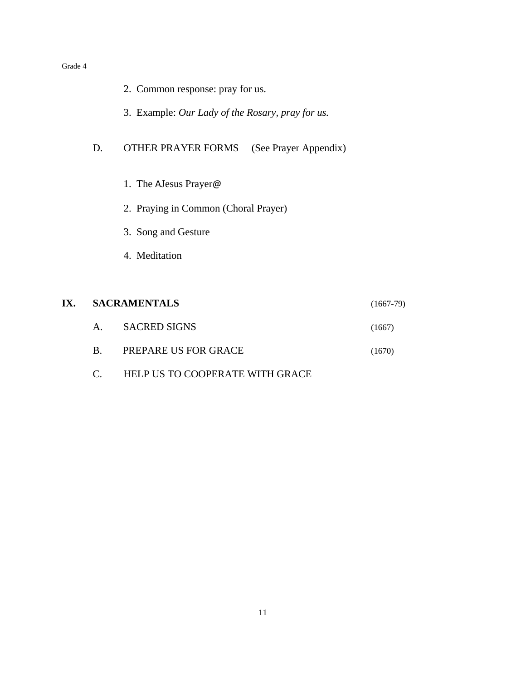|     |                | 2. Common response: pray for us.                 |             |
|-----|----------------|--------------------------------------------------|-------------|
|     |                | 3. Example: Our Lady of the Rosary, pray for us. |             |
|     | D.             | OTHER PRAYER FORMS (See Prayer Appendix)         |             |
|     |                | 1. The AJesus Prayer@                            |             |
|     |                | 2. Praying in Common (Choral Prayer)             |             |
|     |                | 3. Song and Gesture                              |             |
|     |                | 4. Meditation                                    |             |
|     |                |                                                  |             |
| IX. |                | <b>SACRAMENTALS</b>                              | $(1667-79)$ |
|     | A <sub>1</sub> | <b>SACRED SIGNS</b>                              | (1667)      |
|     | B.             | PREPARE US FOR GRACE                             | (1670)      |

C. HELP US TO COOPERATE WITH GRACE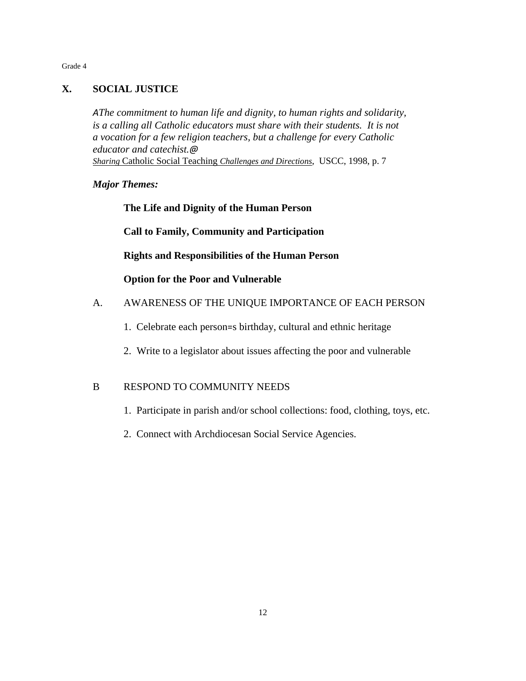# **X. SOCIAL JUSTICE**

*AThe commitment to human life and dignity, to human rights and solidarity, is a calling all Catholic educators must share with their students. It is not a vocation for a few religion teachers, but a challenge for every Catholic educator and catechist.@ Sharing* Catholic Social Teaching *Challenges and Directions*, USCC, 1998, p. 7

# *Major Themes:*

**The Life and Dignity of the Human Person**

**Call to Family, Community and Participation**

**Rights and Responsibilities of the Human Person**

**Option for the Poor and Vulnerable**

# A. AWARENESS OF THE UNIQUE IMPORTANCE OF EACH PERSON

- 1. Celebrate each person=s birthday, cultural and ethnic heritage
- 2. Write to a legislator about issues affecting the poor and vulnerable

# B RESPOND TO COMMUNITY NEEDS

- 1. Participate in parish and/or school collections: food, clothing, toys, etc.
- 2. Connect with Archdiocesan Social Service Agencies.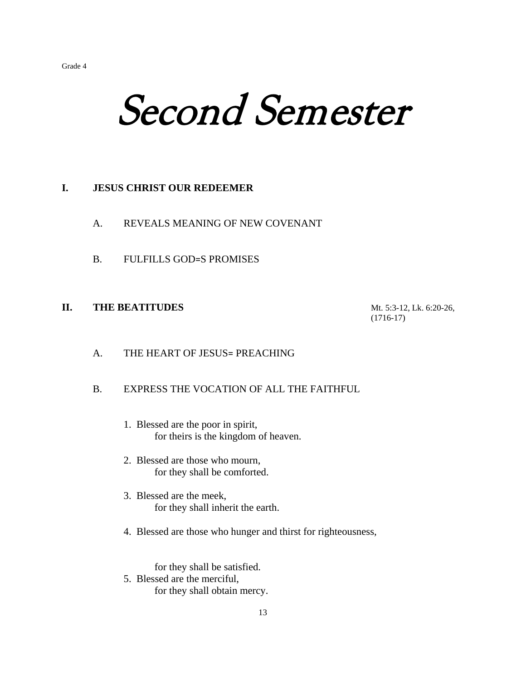# Second Semester

# **I. JESUS CHRIST OUR REDEEMER**

- A. REVEALS MEANING OF NEW COVENANT
- B. FULFILLS GOD=S PROMISES

# **II. THE BEATITUDES** Mt. 5:3-12, Lk. 6:20-26,

(1716-17)

# A. THE HEART OF JESUS= PREACHING

# B. EXPRESS THE VOCATION OF ALL THE FAITHFUL

- 1. Blessed are the poor in spirit, for theirs is the kingdom of heaven.
- 2. Blessed are those who mourn, for they shall be comforted.
- 3. Blessed are the meek, for they shall inherit the earth.
- 4. Blessed are those who hunger and thirst for righteousness,

for they shall be satisfied. 5. Blessed are the merciful, for they shall obtain mercy.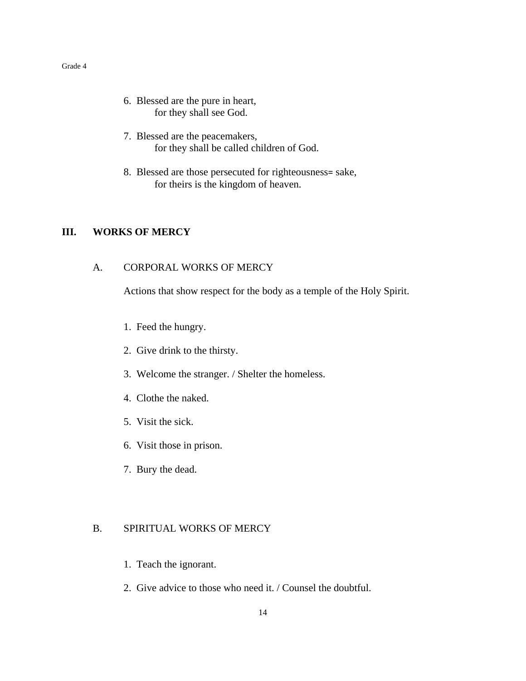- 6. Blessed are the pure in heart, for they shall see God.
- 7. Blessed are the peacemakers, for they shall be called children of God.
- 8. Blessed are those persecuted for righteousness= sake, for theirs is the kingdom of heaven.

# **III. WORKS OF MERCY**

# A. CORPORAL WORKS OF MERCY

Actions that show respect for the body as a temple of the Holy Spirit.

- 1. Feed the hungry.
- 2. Give drink to the thirsty.
- 3. Welcome the stranger. / Shelter the homeless.
- 4. Clothe the naked.
- 5. Visit the sick.
- 6. Visit those in prison.
- 7. Bury the dead.

# B. SPIRITUAL WORKS OF MERCY

- 1. Teach the ignorant.
- 2. Give advice to those who need it. / Counsel the doubtful.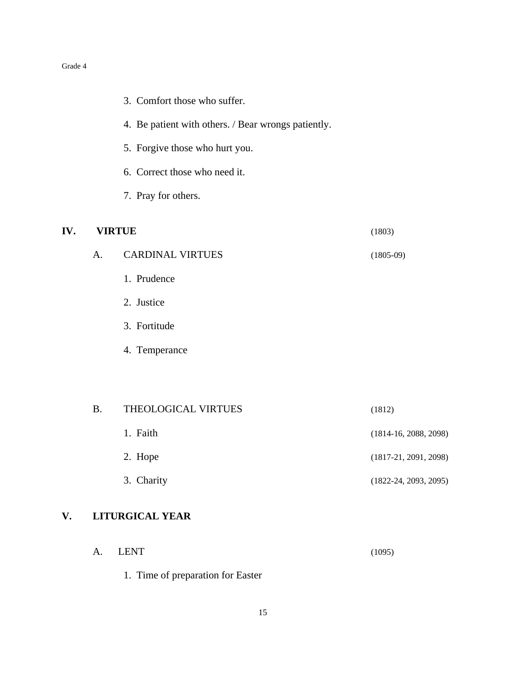|     |           | 3. Comfort those who suffer.                        |                           |
|-----|-----------|-----------------------------------------------------|---------------------------|
|     |           | 4. Be patient with others. / Bear wrongs patiently. |                           |
|     |           | 5. Forgive those who hurt you.                      |                           |
|     |           | 6. Correct those who need it.                       |                           |
|     |           | 7. Pray for others.                                 |                           |
| IV. |           | <b>VIRTUE</b>                                       | (1803)                    |
|     | A.        | <b>CARDINAL VIRTUES</b>                             | $(1805-09)$               |
|     |           | 1. Prudence                                         |                           |
|     |           | 2. Justice                                          |                           |
|     |           | 3. Fortitude                                        |                           |
|     |           | 4. Temperance                                       |                           |
|     |           |                                                     |                           |
|     | <b>B.</b> | THEOLOGICAL VIRTUES                                 | (1812)                    |
|     |           | 1. Faith                                            | $(1814-16, 2088, 2098)$   |
|     |           | 2. Hope                                             | $(1817-21, 2091, 2098)$   |
|     |           | 3. Charity                                          | $(1822 - 24, 2093, 2095)$ |
| V.  |           | <b>LITURGICAL YEAR</b>                              |                           |

| A. LENT | (1095) |
|---------|--------|
|         |        |

1. Time of preparation for Easter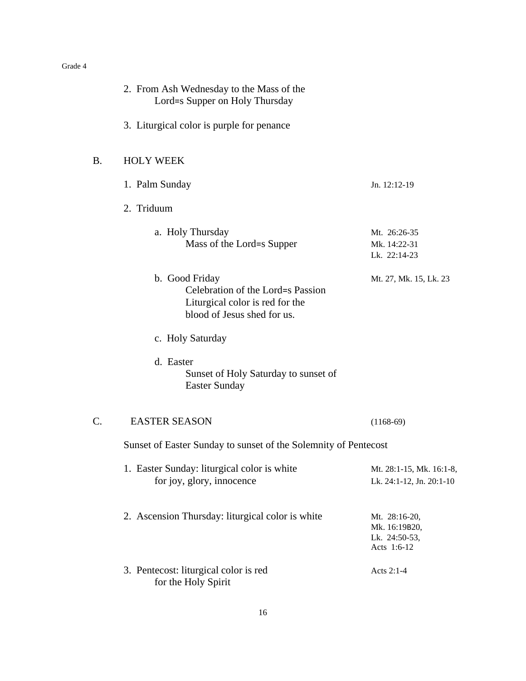|           | 2. From Ash Wednesday to the Mass of the<br>Lord=s Supper on Holy Thursday                                            |                                                                |
|-----------|-----------------------------------------------------------------------------------------------------------------------|----------------------------------------------------------------|
|           | 3. Liturgical color is purple for penance                                                                             |                                                                |
| <b>B.</b> | <b>HOLY WEEK</b>                                                                                                      |                                                                |
|           | 1. Palm Sunday                                                                                                        | Jn. 12:12-19                                                   |
|           | 2. Triduum                                                                                                            |                                                                |
|           | a. Holy Thursday<br>Mass of the Lord=s Supper                                                                         | Mt. 26:26-35<br>Mk. 14:22-31<br>Lk. 22:14-23                   |
|           | b. Good Friday<br>Celebration of the Lord=s Passion<br>Liturgical color is red for the<br>blood of Jesus shed for us. | Mt. 27, Mk. 15, Lk. 23                                         |
|           | c. Holy Saturday                                                                                                      |                                                                |
|           | d. Easter<br>Sunset of Holy Saturday to sunset of<br><b>Easter Sunday</b>                                             |                                                                |
| C.        | <b>EASTER SEASON</b>                                                                                                  | $(1168-69)$                                                    |
|           | Sunset of Easter Sunday to sunset of the Solemnity of Pentecost                                                       |                                                                |
|           | 1. Easter Sunday: liturgical color is white<br>for joy, glory, innocence                                              | Mt. 28:1-15, Mk. 16:1-8,<br>Lk. 24:1-12, Jn. 20:1-10           |
|           | 2. Ascension Thursday: liturgical color is white                                                                      | Mt. 28:16-20,<br>Mk. 16:19B20,<br>Lk. 24:50-53,<br>Acts 1:6-12 |
|           | 3. Pentecost: liturgical color is red<br>for the Holy Spirit                                                          | Acts 2:1-4                                                     |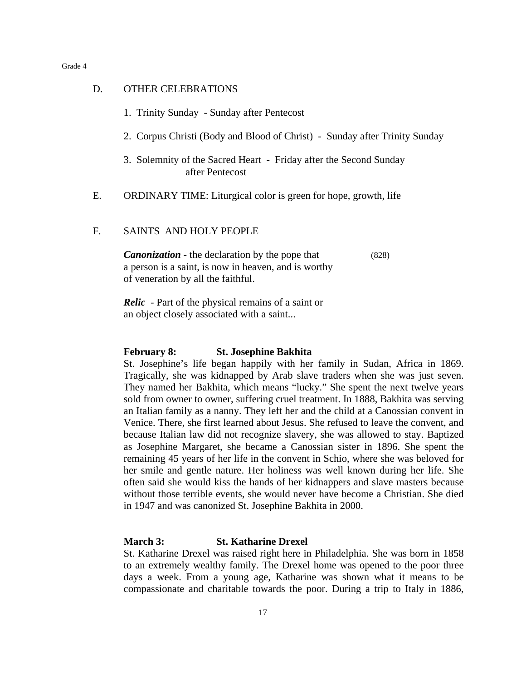# D. OTHER CELEBRATIONS

| 1. Trinity Sunday - Sunday after Pentecost                                           |
|--------------------------------------------------------------------------------------|
| 2. Corpus Christi (Body and Blood of Christ) - Sunday after Trinity Sunday           |
| 3. Solemnity of the Sacred Heart - Friday after the Second Sunday<br>after Pentecost |

- E. ORDINARY TIME: Liturgical color is green for hope, growth, life
- F. SAINTS AND HOLY PEOPLE

*Canonization* - the declaration by the pope that (828) a person is a saint, is now in heaven, and is worthy of veneration by all the faithful.

*Relic* - Part of the physical remains of a saint or an object closely associated with a saint...

# **February 8: St. Josephine Bakhita**

St. Josephine's life began happily with her family in Sudan, Africa in 1869. Tragically, she was kidnapped by Arab slave traders when she was just seven. They named her Bakhita, which means "lucky." She spent the next twelve years sold from owner to owner, suffering cruel treatment. In 1888, Bakhita was serving an Italian family as a nanny. They left her and the child at a Canossian convent in Venice. There, she first learned about Jesus. She refused to leave the convent, and because Italian law did not recognize slavery, she was allowed to stay. Baptized as Josephine Margaret, she became a Canossian sister in 1896. She spent the remaining 45 years of her life in the convent in Schio, where she was beloved for her smile and gentle nature. Her holiness was well known during her life. She often said she would kiss the hands of her kidnappers and slave masters because without those terrible events, she would never have become a Christian. She died in 1947 and was canonized St. Josephine Bakhita in 2000.

# **March 3: St. Katharine Drexel**

St. Katharine Drexel was raised right here in Philadelphia. She was born in 1858 to an extremely wealthy family. The Drexel home was opened to the poor three days a week. From a young age, Katharine was shown what it means to be compassionate and charitable towards the poor. During a trip to Italy in 1886,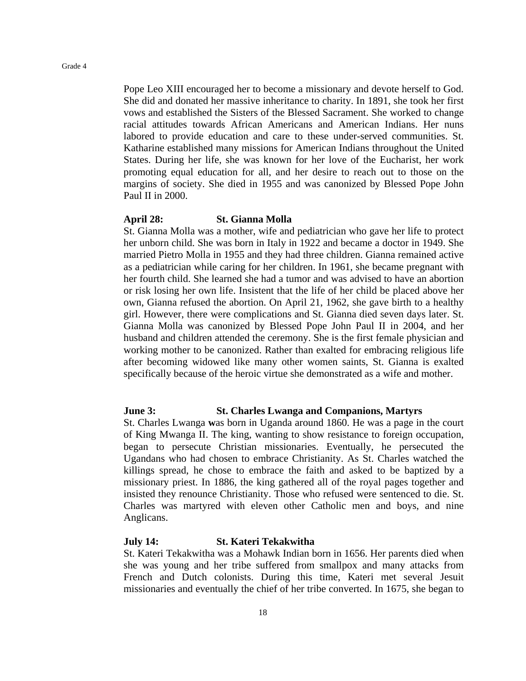Pope Leo XIII encouraged her to become a missionary and devote herself to God. She did and donated her massive inheritance to charity. In 1891, she took her first vows and established the Sisters of the Blessed Sacrament. She worked to change racial attitudes towards African Americans and American Indians. Her nuns labored to provide education and care to these under-served communities. St. Katharine established many missions for American Indians throughout the United States. During her life, she was known for her love of the Eucharist, her work promoting equal education for all, and her desire to reach out to those on the margins of society. She died in 1955 and was canonized by Blessed Pope John Paul II in 2000.

# **April 28: St. Gianna Molla**

St. Gianna Molla was a mother, wife and pediatrician who gave her life to protect her unborn child. She was born in Italy in 1922 and became a doctor in 1949. She married Pietro Molla in 1955 and they had three children. Gianna remained active as a pediatrician while caring for her children. In 1961, she became pregnant with her fourth child. She learned she had a tumor and was advised to have an abortion or risk losing her own life. Insistent that the life of her child be placed above her own, Gianna refused the abortion. On April 21, 1962, she gave birth to a healthy girl. However, there were complications and St. Gianna died seven days later. St. Gianna Molla was canonized by Blessed Pope John Paul II in 2004, and her husband and children attended the ceremony. She is the first female physician and working mother to be canonized. Rather than exalted for embracing religious life after becoming widowed like many other women saints, St. Gianna is exalted specifically because of the heroic virtue she demonstrated as a wife and mother.

# **June 3: St. Charles Lwanga and Companions, Martyrs**

St. Charles Lwanga **w**as born in Uganda around 1860. He was a page in the court of King Mwanga II. The king, wanting to show resistance to foreign occupation, began to persecute Christian missionaries. Eventually, he persecuted the Ugandans who had chosen to embrace Christianity. As St. Charles watched the killings spread, he chose to embrace the faith and asked to be baptized by a missionary priest. In 1886, the king gathered all of the royal pages together and insisted they renounce Christianity. Those who refused were sentenced to die. St. Charles was martyred with eleven other Catholic men and boys, and nine Anglicans.

# **July 14: St. Kateri Tekakwitha**

St. Kateri Tekakwitha was a Mohawk Indian born in 1656. Her parents died when she was young and her tribe suffered from smallpox and many attacks from French and Dutch colonists. During this time, Kateri met several Jesuit missionaries and eventually the chief of her tribe converted. In 1675, she began to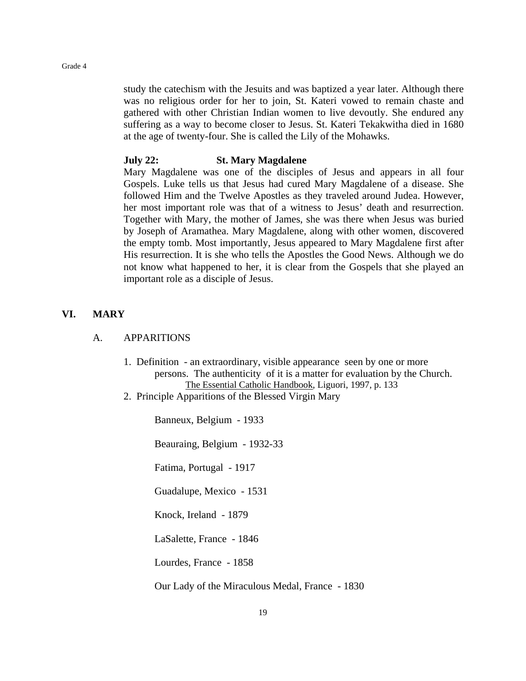study the catechism with the Jesuits and was baptized a year later. Although there was no religious order for her to join, St. Kateri vowed to remain chaste and gathered with other Christian Indian women to live devoutly. She endured any suffering as a way to become closer to Jesus. St. Kateri Tekakwitha died in 1680 at the age of twenty-four. She is called the Lily of the Mohawks.

# **July 22: St. Mary Magdalene**

Mary Magdalene was one of the disciples of Jesus and appears in all four Gospels. Luke tells us that Jesus had cured Mary Magdalene of a disease. She followed Him and the Twelve Apostles as they traveled around Judea. However, her most important role was that of a witness to Jesus' death and resurrection. Together with Mary, the mother of James, she was there when Jesus was buried by Joseph of Aramathea. Mary Magdalene, along with other women, discovered the empty tomb. Most importantly, Jesus appeared to Mary Magdalene first after His resurrection. It is she who tells the Apostles the Good News. Although we do not know what happened to her, it is clear from the Gospels that she played an important role as a disciple of Jesus.

# **VI. MARY**

# A. APPARITIONS

- 1. Definition an extraordinary, visible appearance seen by one or more persons. The authenticity of it is a matter for evaluation by the Church. The Essential Catholic Handbook, Liguori, 1997, p. 133
- 2. Principle Apparitions of the Blessed Virgin Mary

Banneux, Belgium - 1933

Beauraing, Belgium - 1932-33

Fatima, Portugal - 1917

Guadalupe, Mexico - 1531

Knock, Ireland - 1879

LaSalette, France - 1846

Lourdes, France - 1858

Our Lady of the Miraculous Medal, France - 1830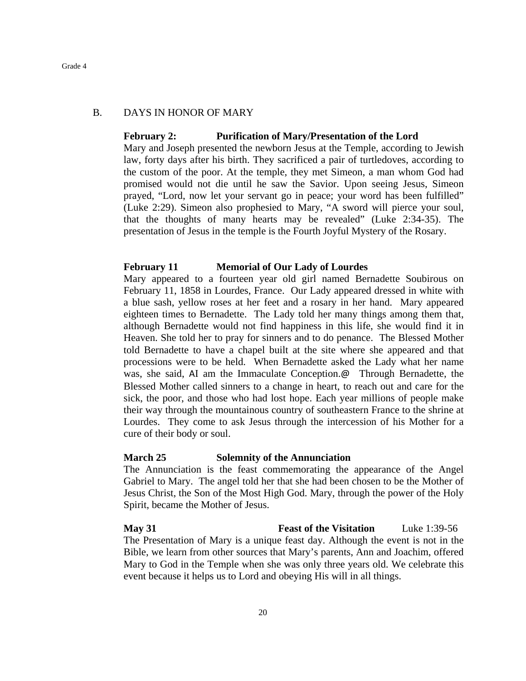# B. DAYS IN HONOR OF MARY

# **February 2: Purification of Mary/Presentation of the Lord**

Mary and Joseph presented the newborn Jesus at the Temple, according to Jewish law, forty days after his birth. They sacrificed a pair of turtledoves, according to the custom of the poor. At the temple, they met Simeon, a man whom God had promised would not die until he saw the Savior. Upon seeing Jesus, Simeon prayed, "Lord, now let your servant go in peace; your word has been fulfilled" (Luke 2:29). Simeon also prophesied to Mary, "A sword will pierce your soul, that the thoughts of many hearts may be revealed" (Luke 2:34-35). The presentation of Jesus in the temple is the Fourth Joyful Mystery of the Rosary.

# **February 11 Memorial of Our Lady of Lourdes**

Mary appeared to a fourteen year old girl named Bernadette Soubirous on February 11, 1858 in Lourdes, France. Our Lady appeared dressed in white with a blue sash, yellow roses at her feet and a rosary in her hand. Mary appeared eighteen times to Bernadette. The Lady told her many things among them that, although Bernadette would not find happiness in this life, she would find it in Heaven. She told her to pray for sinners and to do penance. The Blessed Mother told Bernadette to have a chapel built at the site where she appeared and that processions were to be held. When Bernadette asked the Lady what her name was, she said, AI am the Immaculate Conception.@ Through Bernadette, the Blessed Mother called sinners to a change in heart, to reach out and care for the sick, the poor, and those who had lost hope. Each year millions of people make their way through the mountainous country of southeastern France to the shrine at Lourdes. They come to ask Jesus through the intercession of his Mother for a cure of their body or soul.

# **March 25 Solemnity of the Annunciation**

The Annunciation is the feast commemorating the appearance of the Angel Gabriel to Mary. The angel told her that she had been chosen to be the Mother of Jesus Christ, the Son of the Most High God. Mary, through the power of the Holy Spirit, became the Mother of Jesus.

**May 31 Feast of the Visitation** Luke 1:39-56 The Presentation of Mary is a unique feast day. Although the event is not in the Bible, we learn from other sources that Mary's parents, Ann and Joachim, offered Mary to God in the Temple when she was only three years old. We celebrate this event because it helps us to Lord and obeying His will in all things.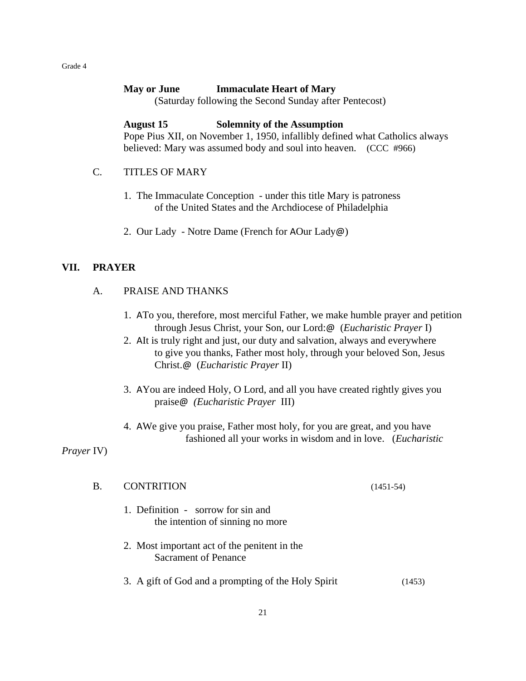# **May or June Immaculate Heart of Mary**

(Saturday following the Second Sunday after Pentecost)

# **August 15 Solemnity of the Assumption**

Pope Pius XII, on November 1, 1950, infallibly defined what Catholics always believed: Mary was assumed body and soul into heaven. (CCC #966)

# C. TITLES OF MARY

- 1. The Immaculate Conception under this title Mary is patroness of the United States and the Archdiocese of Philadelphia
- 2. Our Lady Notre Dame (French for AOur Lady@)

# **VII. PRAYER**

# A. PRAISE AND THANKS

- 1. ATo you, therefore, most merciful Father, we make humble prayer and petition through Jesus Christ, your Son, our Lord:@ (*Eucharistic Prayer* I)
- 2. AIt is truly right and just, our duty and salvation, always and everywhere to give you thanks, Father most holy, through your beloved Son, Jesus Christ.@ (*Eucharistic Prayer* II)
- 3. AYou are indeed Holy, O Lord, and all you have created rightly gives you praise@ *(Eucharistic Prayer* III)
- 4. AWe give you praise, Father most holy, for you are great, and you have fashioned all your works in wisdom and in love. (*Eucharistic*

*Prayer* IV)

| $\mathbf{B}$ | <b>CONTRITION</b> | $(1451-54)$ |
|--------------|-------------------|-------------|
|--------------|-------------------|-------------|

- 1. Definition sorrow for sin and the intention of sinning no more
- 2. Most important act of the penitent in the Sacrament of Penance
- 3. A gift of God and a prompting of the Holy Spirit (1453)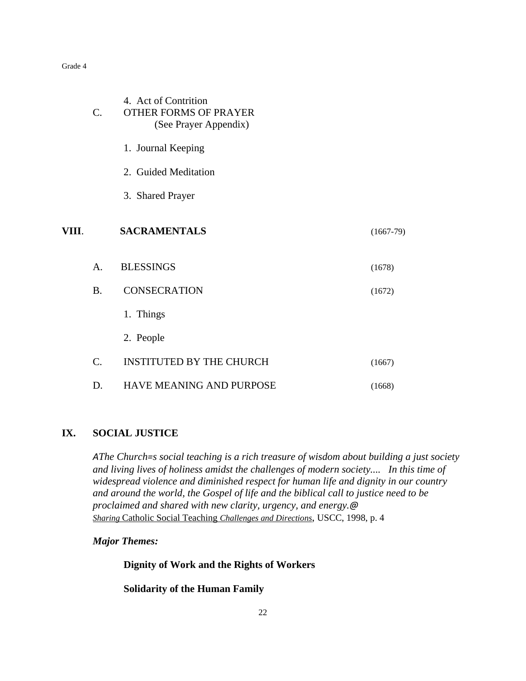|       | C.             | 4. Act of Contrition<br><b>OTHER FORMS OF PRAYER</b><br>(See Prayer Appendix) |             |
|-------|----------------|-------------------------------------------------------------------------------|-------------|
|       |                | 1. Journal Keeping                                                            |             |
|       |                | 2. Guided Meditation                                                          |             |
|       |                | 3. Shared Prayer                                                              |             |
| VIII. |                | <b>SACRAMENTALS</b>                                                           | $(1667-79)$ |
|       | $\mathsf{A}$ . | <b>BLESSINGS</b>                                                              | (1678)      |
|       | <b>B.</b>      | <b>CONSECRATION</b>                                                           | (1672)      |
|       |                | 1. Things                                                                     |             |
|       |                | 2. People                                                                     |             |
|       | C.             | <b>INSTITUTED BY THE CHURCH</b>                                               | (1667)      |
|       | D.             | HAVE MEANING AND PURPOSE                                                      | (1668)      |

# **IX. SOCIAL JUSTICE**

*AThe Church=s social teaching is a rich treasure of wisdom about building a just society and living lives of holiness amidst the challenges of modern society.... In this time of widespread violence and diminished respect for human life and dignity in our country and around the world, the Gospel of life and the biblical call to justice need to be proclaimed and shared with new clarity, urgency, and energy.@ Sharing* Catholic Social Teaching *Challenges and Directions*, USCC, 1998, p. 4

*Major Themes:*

**Dignity of Work and the Rights of Workers**

**Solidarity of the Human Family**